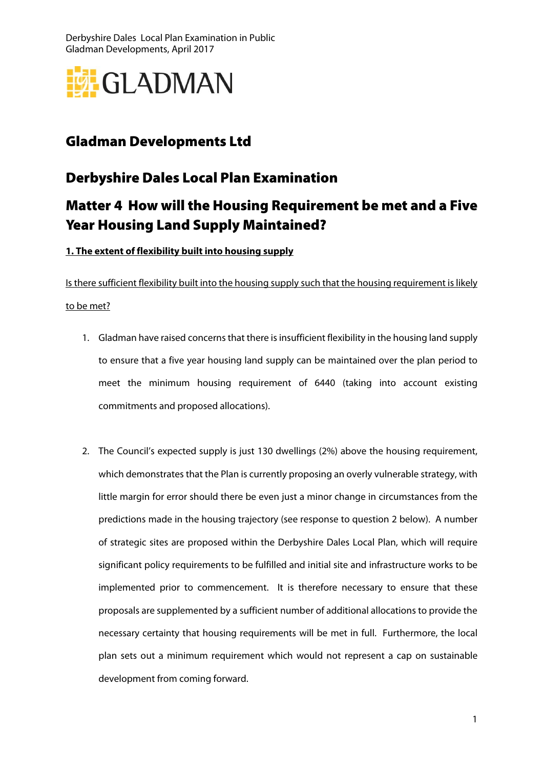

## Gladman Developments Ltd

## Derbyshire Dales Local Plan Examination

# Matter 4 How will the Housing Requirement be met and a Five Year Housing Land Supply Maintained?

### **1. The extent of flexibility built into housing supply**

Is there sufficient flexibility built into the housing supply such that the housing requirement is likely to be met?

- 1. Gladman have raised concerns that there is insufficient flexibility in the housing land supply to ensure that a five year housing land supply can be maintained over the plan period to meet the minimum housing requirement of 6440 (taking into account existing commitments and proposed allocations).
- 2. The Council's expected supply is just 130 dwellings (2%) above the housing requirement, which demonstrates that the Plan is currently proposing an overly vulnerable strategy, with little margin for error should there be even just a minor change in circumstances from the predictions made in the housing trajectory (see response to question 2 below). A number of strategic sites are proposed within the Derbyshire Dales Local Plan, which will require significant policy requirements to be fulfilled and initial site and infrastructure works to be implemented prior to commencement. It is therefore necessary to ensure that these proposals are supplemented by a sufficient number of additional allocations to provide the necessary certainty that housing requirements will be met in full. Furthermore, the local plan sets out a minimum requirement which would not represent a cap on sustainable development from coming forward.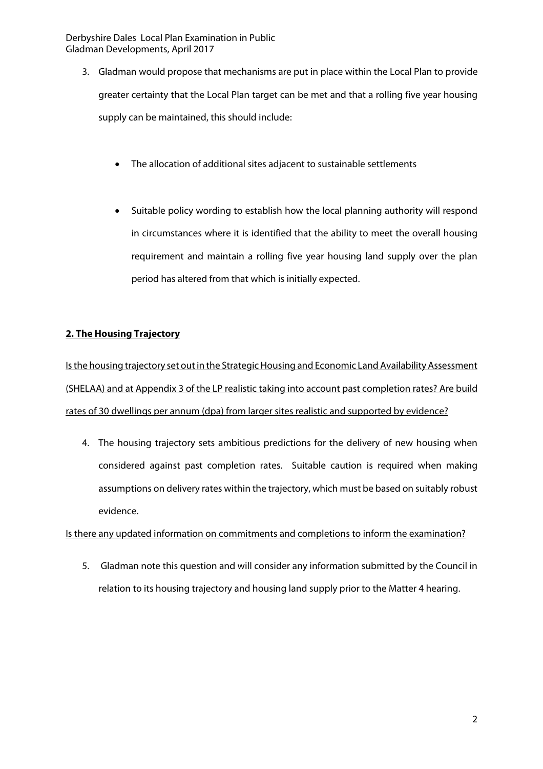- 3. Gladman would propose that mechanisms are put in place within the Local Plan to provide greater certainty that the Local Plan target can be met and that a rolling five year housing supply can be maintained, this should include:
	- The allocation of additional sites adjacent to sustainable settlements
	- Suitable policy wording to establish how the local planning authority will respond in circumstances where it is identified that the ability to meet the overall housing requirement and maintain a rolling five year housing land supply over the plan period has altered from that which is initially expected.

#### **2. The Housing Trajectory**

Is the housing trajectory set out in the Strategic Housing and Economic Land Availability Assessment (SHELAA) and at Appendix 3 of the LP realistic taking into account past completion rates? Are build rates of 30 dwellings per annum (dpa) from larger sites realistic and supported by evidence?

4. The housing trajectory sets ambitious predictions for the delivery of new housing when considered against past completion rates. Suitable caution is required when making assumptions on delivery rates within the trajectory, which must be based on suitably robust evidence.

#### Is there any updated information on commitments and completions to inform the examination?

5. Gladman note this question and will consider any information submitted by the Council in relation to its housing trajectory and housing land supply prior to the Matter 4 hearing.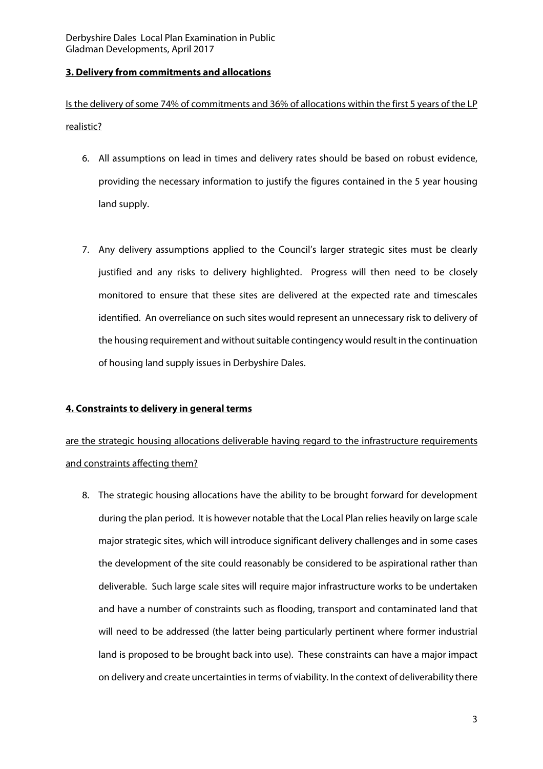#### **3. Delivery from commitments and allocations**

Is the delivery of some 74% of commitments and 36% of allocations within the first 5 years of the LP realistic?

- 6. All assumptions on lead in times and delivery rates should be based on robust evidence, providing the necessary information to justify the figures contained in the 5 year housing land supply.
- 7. Any delivery assumptions applied to the Council's larger strategic sites must be clearly justified and any risks to delivery highlighted. Progress will then need to be closely monitored to ensure that these sites are delivered at the expected rate and timescales identified. An overreliance on such sites would represent an unnecessary risk to delivery of the housing requirement and without suitable contingency would result in the continuation of housing land supply issues in Derbyshire Dales.

### **4. Constraints to delivery in general terms**

are the strategic housing allocations deliverable having regard to the infrastructure requirements and constraints affecting them?

8. The strategic housing allocations have the ability to be brought forward for development during the plan period. It is however notable that the Local Plan relies heavily on large scale major strategic sites, which will introduce significant delivery challenges and in some cases the development of the site could reasonably be considered to be aspirational rather than deliverable. Such large scale sites will require major infrastructure works to be undertaken and have a number of constraints such as flooding, transport and contaminated land that will need to be addressed (the latter being particularly pertinent where former industrial land is proposed to be brought back into use). These constraints can have a major impact on delivery and create uncertainties in terms of viability. In the context of deliverability there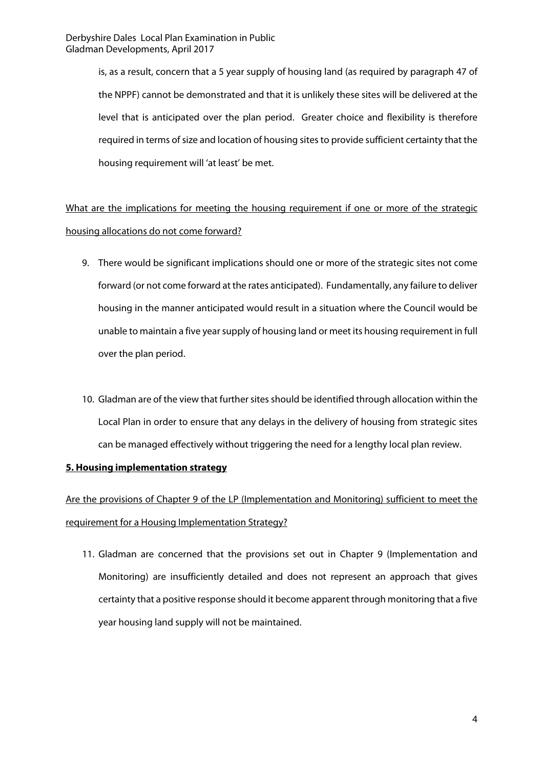> is, as a result, concern that a 5 year supply of housing land (as required by paragraph 47 of the NPPF) cannot be demonstrated and that it is unlikely these sites will be delivered at the level that is anticipated over the plan period. Greater choice and flexibility is therefore required in terms of size and location of housing sites to provide sufficient certainty that the housing requirement will 'at least' be met.

What are the implications for meeting the housing requirement if one or more of the strategic housing allocations do not come forward?

- 9. There would be significant implications should one or more of the strategic sites not come forward (or not come forward at the rates anticipated). Fundamentally, any failure to deliver housing in the manner anticipated would result in a situation where the Council would be unable to maintain a five year supply of housing land or meet its housing requirement in full over the plan period.
- 10. Gladman are of the view that further sites should be identified through allocation within the Local Plan in order to ensure that any delays in the delivery of housing from strategic sites can be managed effectively without triggering the need for a lengthy local plan review.

#### **5. Housing implementation strategy**

Are the provisions of Chapter 9 of the LP (Implementation and Monitoring) sufficient to meet the requirement for a Housing Implementation Strategy?

11. Gladman are concerned that the provisions set out in Chapter 9 (Implementation and Monitoring) are insufficiently detailed and does not represent an approach that gives certainty that a positive response should it become apparent through monitoring that a five year housing land supply will not be maintained.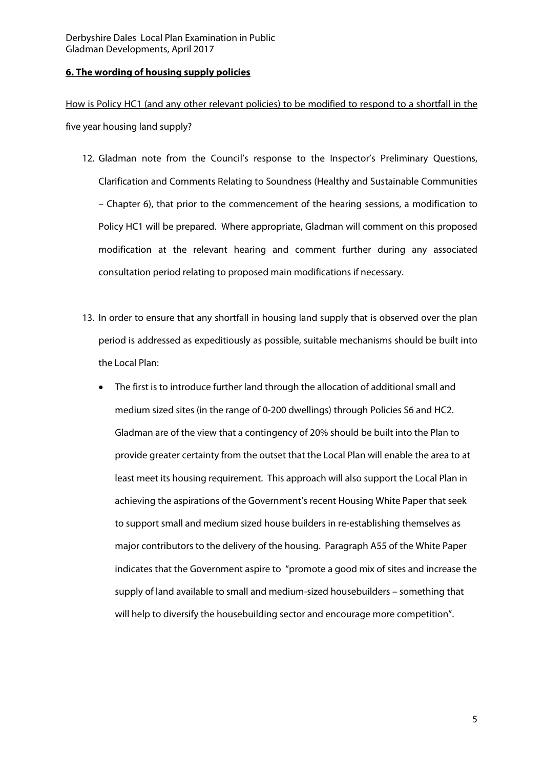#### **6. The wording of housing supply policies**

How is Policy HC1 (and any other relevant policies) to be modified to respond to a shortfall in the five year housing land supply?

- 12. Gladman note from the Council's response to the Inspector's Preliminary Questions, Clarification and Comments Relating to Soundness (Healthy and Sustainable Communities – Chapter 6), that prior to the commencement of the hearing sessions, a modification to Policy HC1 will be prepared. Where appropriate, Gladman will comment on this proposed modification at the relevant hearing and comment further during any associated consultation period relating to proposed main modifications if necessary.
- 13. In order to ensure that any shortfall in housing land supply that is observed over the plan period is addressed as expeditiously as possible, suitable mechanisms should be built into the Local Plan:
	- The first is to introduce further land through the allocation of additional small and medium sized sites (in the range of 0-200 dwellings) through Policies S6 and HC2. Gladman are of the view that a contingency of 20% should be built into the Plan to provide greater certainty from the outset that the Local Plan will enable the area to at least meet its housing requirement. This approach will also support the Local Plan in achieving the aspirations of the Government's recent Housing White Paper that seek to support small and medium sized house builders in re-establishing themselves as major contributors to the delivery of the housing. Paragraph A55 of the White Paper indicates that the Government aspire to "promote a good mix of sites and increase the supply of land available to small and medium-sized housebuilders – something that will help to diversify the housebuilding sector and encourage more competition".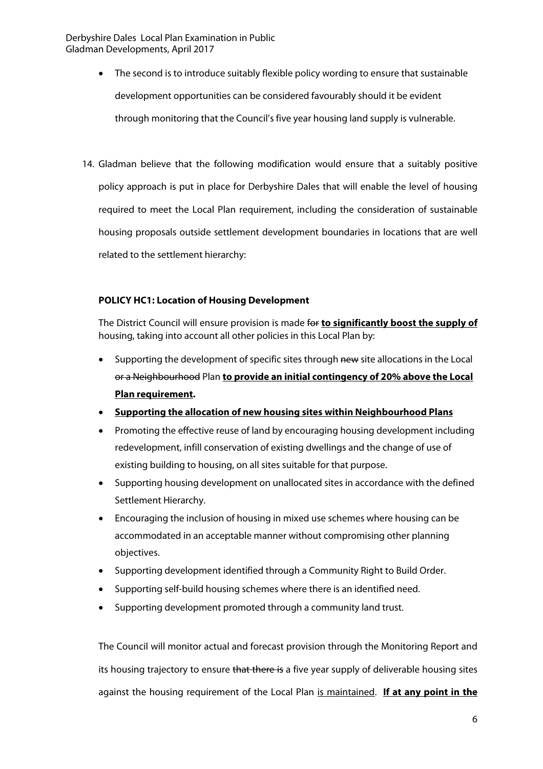- The second is to introduce suitably flexible policy wording to ensure that sustainable development opportunities can be considered favourably should it be evident through monitoring that the Council's five year housing land supply is vulnerable.
- 14. Gladman believe that the following modification would ensure that a suitably positive policy approach is put in place for Derbyshire Dales that will enable the level of housing required to meet the Local Plan requirement, including the consideration of sustainable housing proposals outside settlement development boundaries in locations that are well related to the settlement hierarchy:

#### **POLICY HC1: Location of Housing Development**

The District Council will ensure provision is made for **to significantly boost the supply of** housing, taking into account all other policies in this Local Plan by:

- Supporting the development of specific sites through new site allocations in the Local or a Neighbourhood Plan **to provide an initial contingency of 20% above the Local Plan requirement.**
- **Supporting the allocation of new housing sites within Neighbourhood Plans**
- Promoting the effective reuse of land by encouraging housing development including redevelopment, infill conservation of existing dwellings and the change of use of existing building to housing, on all sites suitable for that purpose.
- Supporting housing development on unallocated sites in accordance with the defined Settlement Hierarchy.
- Encouraging the inclusion of housing in mixed use schemes where housing can be accommodated in an acceptable manner without compromising other planning objectives.
- Supporting development identified through a Community Right to Build Order.
- Supporting self-build housing schemes where there is an identified need.
- Supporting development promoted through a community land trust.

The Council will monitor actual and forecast provision through the Monitoring Report and its housing trajectory to ensure that there is a five year supply of deliverable housing sites against the housing requirement of the Local Plan is maintained. **If at any point in the**